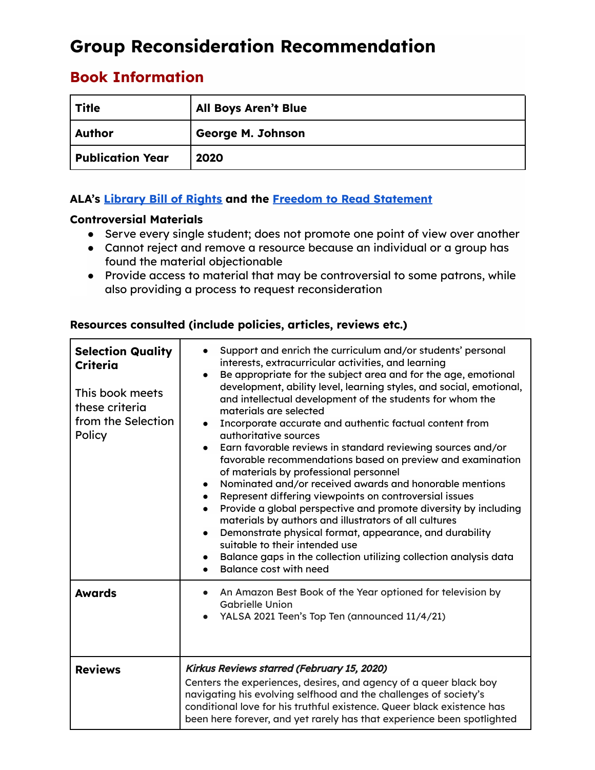# **Group Reconsideration Recommendation**

# **Book Information**

| Title                   | <b>All Boys Aren't Blue</b> |
|-------------------------|-----------------------------|
| <b>Author</b>           | George M. Johnson           |
| <b>Publication Year</b> | 2020                        |

## **ALA's [Library](https://www.ala.org/advocacy/intfreedom/librarybill) Bill of Rights and the Freedom to Read [Statement](https://www.ala.org/advocacy/intfreedom/freedomreadstatement)**

## **Controversial Materials**

- Serve every single student; does not promote one point of view over another
- Cannot reject and remove a resource because an individual or a group has found the material objectionable
- Provide access to material that may be controversial to some patrons, while also providing a process to request reconsideration

| <b>Selection Quality</b><br>Criteria<br>This book meets<br>these criteria<br>from the Selection<br>Policy | Support and enrich the curriculum and/or students' personal<br>interests, extracurricular activities, and learning<br>Be appropriate for the subject area and for the age, emotional<br>$\bullet$<br>development, ability level, learning styles, and social, emotional,<br>and intellectual development of the students for whom the<br>materials are selected<br>Incorporate accurate and authentic factual content from<br>authoritative sources<br>Earn favorable reviews in standard reviewing sources and/or<br>$\bullet$<br>favorable recommendations based on preview and examination<br>of materials by professional personnel<br>Nominated and/or received awards and honorable mentions<br>$\bullet$<br>Represent differing viewpoints on controversial issues<br>$\bullet$<br>Provide a global perspective and promote diversity by including<br>$\bullet$<br>materials by authors and illustrators of all cultures<br>Demonstrate physical format, appearance, and durability<br>$\bullet$<br>suitable to their intended use<br>Balance gaps in the collection utilizing collection analysis data<br>$\bullet$<br>Balance cost with need<br>$\bullet$ |
|-----------------------------------------------------------------------------------------------------------|--------------------------------------------------------------------------------------------------------------------------------------------------------------------------------------------------------------------------------------------------------------------------------------------------------------------------------------------------------------------------------------------------------------------------------------------------------------------------------------------------------------------------------------------------------------------------------------------------------------------------------------------------------------------------------------------------------------------------------------------------------------------------------------------------------------------------------------------------------------------------------------------------------------------------------------------------------------------------------------------------------------------------------------------------------------------------------------------------------------------------------------------------------------------|
| <b>Awards</b>                                                                                             | An Amazon Best Book of the Year optioned for television by<br><b>Gabrielle Union</b><br>YALSA 2021 Teen's Top Ten (announced 11/4/21)                                                                                                                                                                                                                                                                                                                                                                                                                                                                                                                                                                                                                                                                                                                                                                                                                                                                                                                                                                                                                              |
| <b>Reviews</b>                                                                                            | Kirkus Reviews starred (February 15, 2020)<br>Centers the experiences, desires, and agency of a queer black boy<br>navigating his evolving selfhood and the challenges of society's<br>conditional love for his truthful existence. Queer black existence has<br>been here forever, and yet rarely has that experience been spotlighted                                                                                                                                                                                                                                                                                                                                                                                                                                                                                                                                                                                                                                                                                                                                                                                                                            |

## **Resources consulted (include policies, articles, reviews etc.)**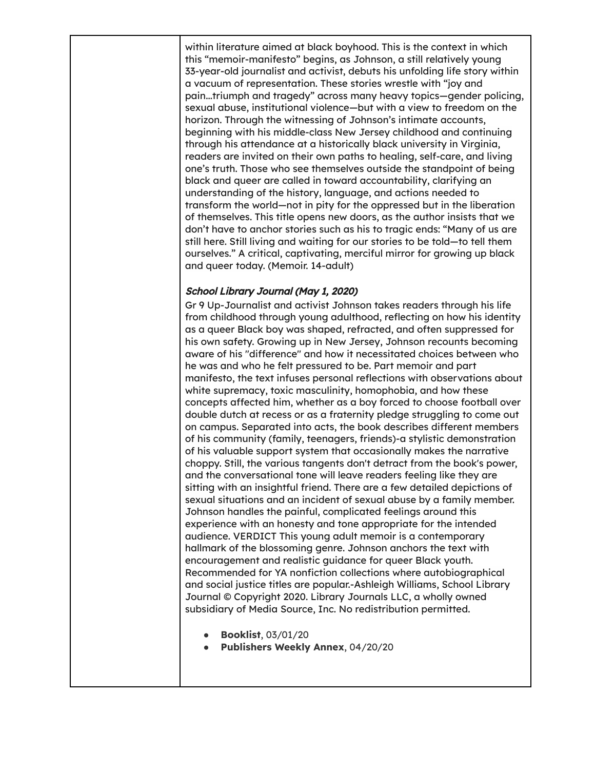within literature aimed at black boyhood. This is the context in which this "memoir-manifesto" begins, as Johnson, a still relatively young 33-year-old journalist and activist, debuts his unfolding life story within a vacuum of representation. These stories wrestle with "joy and pain...triumph and tragedy" across many heavy topics—gender policing, sexual abuse, institutional violence—but with a view to freedom on the horizon. Through the witnessing of Johnson's intimate accounts, beginning with his middle-class New Jersey childhood and continuing through his attendance at a historically black university in Virginia, readers are invited on their own paths to healing, self-care, and living one's truth. Those who see themselves outside the standpoint of being black and queer are called in toward accountability, clarifying an understanding of the history, language, and actions needed to transform the world—not in pity for the oppressed but in the liberation of themselves. This title opens new doors, as the author insists that we don't have to anchor stories such as his to tragic ends: "Many of us are still here. Still living and waiting for our stories to be told—to tell them ourselves." A critical, captivating, merciful mirror for growing up black and queer today. (Memoir. 14-adult)

#### School Library Journal (May 1, 2020)

Gr 9 Up-Journalist and activist Johnson takes readers through his life from childhood through young adulthood, reflecting on how his identity as a queer Black boy was shaped, refracted, and often suppressed for his own safety. Growing up in New Jersey, Johnson recounts becoming aware of his "difference" and how it necessitated choices between who he was and who he felt pressured to be. Part memoir and part manifesto, the text infuses personal reflections with observations about white supremacy, toxic masculinity, homophobia, and how these concepts affected him, whether as a boy forced to choose football over double dutch at recess or as a fraternity pledge struggling to come out on campus. Separated into acts, the book describes different members of his community (family, teenagers, friends)-a stylistic demonstration of his valuable support system that occasionally makes the narrative choppy. Still, the various tangents don't detract from the book's power, and the conversational tone will leave readers feeling like they are sitting with an insightful friend. There are a few detailed depictions of sexual situations and an incident of sexual abuse by a family member. Johnson handles the painful, complicated feelings around this experience with an honesty and tone appropriate for the intended audience. VERDICT This young adult memoir is a contemporary hallmark of the blossoming genre. Johnson anchors the text with encouragement and realistic guidance for queer Black youth. Recommended for YA nonfiction collections where autobiographical and social justice titles are popular.-Ashleigh Williams, School Library Journal © Copyright 2020. Library Journals LLC, a wholly owned subsidiary of Media Source, Inc. No redistribution permitted.

- **Booklist**, 03/01/20
- **Publishers Weekly Annex**, 04/20/20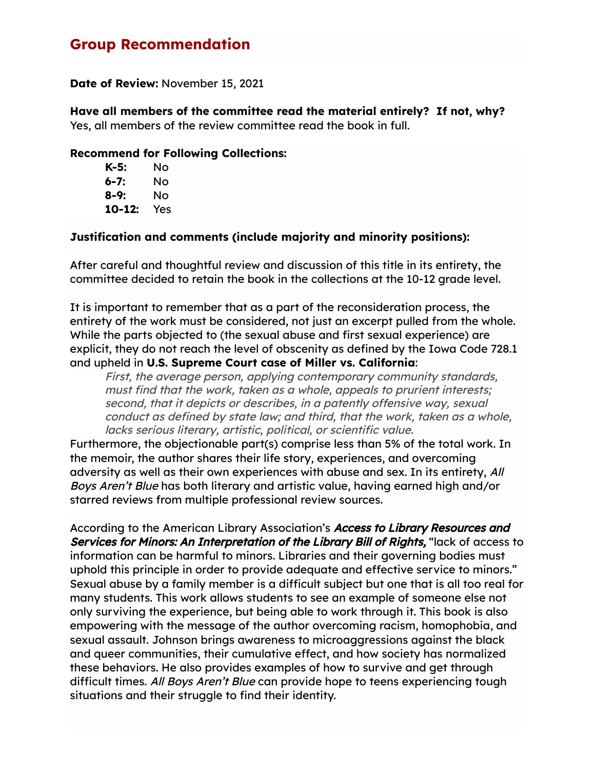# **Group Recommendation**

**Date of Review:** November 15, 2021

**Have all members of the committee read the material entirely? If not, why?** Yes, all members of the review committee read the book in full.

#### **Recommend for Following Collections:**

| K-5:   | Nο  |
|--------|-----|
| 6-7:   | Nο  |
| 8-9:   | Nο  |
| 10-12: | Yes |

#### **Justification and comments (include majority and minority positions):**

After careful and thoughtful review and discussion of this title in its entirety, the committee decided to retain the book in the collections at the 10-12 grade level.

It is important to remember that as a part of the reconsideration process, the entirety of the work must be considered, not just an excerpt pulled from the whole. While the parts objected to (the sexual abuse and first sexual experience) are explicit, they do not reach the level of obscenity as defined by the Iowa Code 728.1 and upheld in **U.S. Supreme Court case of Miller vs. California**:

First, the average person, applying contemporary community standards, must find that the work, taken as <sup>a</sup> whole, appeals to prurient interests; second, that it depicts or describes, in <sup>a</sup> patently offensive way, sexual conduct as defined by state law; and third, that the work, taken as <sup>a</sup> whole, lacks serious literary, artistic, political, or scientific value.

Furthermore, the objectionable part(s) comprise less than 5% of the total work. In the memoir, the author shares their life story, experiences, and overcoming adversity as well as their own experiences with abuse and sex. In its entirety, All Boys Aren't Blue has both literary and artistic value, having earned high and/or starred reviews from multiple professional review sources.

According to the American Library Association's Access to Library Resources and Services for Minors: An Interpretation of the Library Bill of Rights, "lack of access to information can be harmful to minors. Libraries and their governing bodies must uphold this principle in order to provide adequate and effective service to minors." Sexual abuse by a family member is a difficult subject but one that is all too real for many students. This work allows students to see an example of someone else not only surviving the experience, but being able to work through it. This book is also empowering with the message of the author overcoming racism, homophobia, and sexual assault. Johnson brings awareness to microaggressions against the black and queer communities, their cumulative effect, and how society has normalized these behaviors. He also provides examples of how to survive and get through difficult times. All Boys Aren't Blue can provide hope to teens experiencing tough situations and their struggle to find their identity.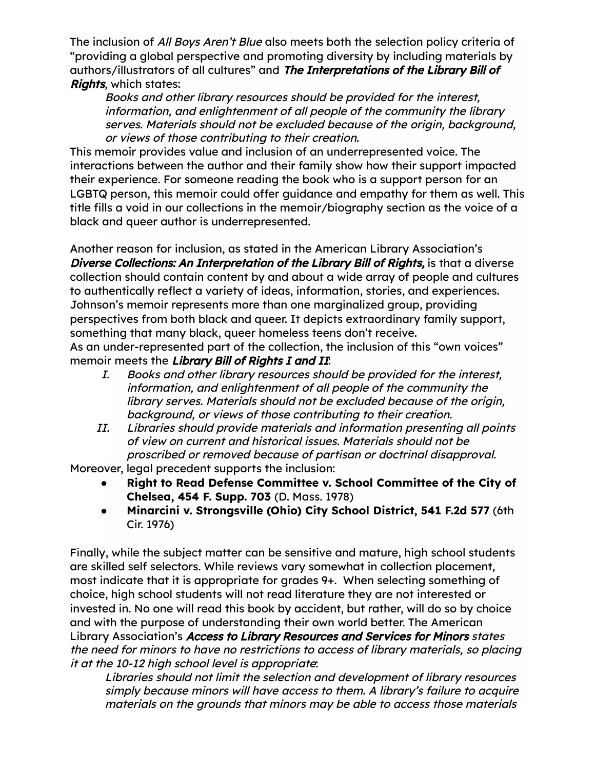The inclusion of All Boys Aren't Blue also meets both the selection policy criteria of "providing a global perspective and promoting diversity by including materials by authors/illustrators of all cultures" and The Interpretations of the Library Bill of **Rights, which states:** 

Books and other library resources should be provided for the interest, information, and enlightenment of all people of the community the library serves. Materials should not be excluded because of the origin, background, or views of those contributing to their creation.

This memoir provides value and inclusion of an underrepresented voice. The interactions between the author and their family show how their support impacted their experience. For someone reading the book who is a support person for an LGBTQ person, this memoir could offer guidance and empathy for them as well. This title fills a void in our collections in the memoir/biography section as the voice of a black and queer author is underrepresented.

Another reason for inclusion, as stated in the American Library Association's Diverse Collections: An Interpretation of the Library Bill of Rights, is that a diverse collection should contain content by and about a wide array of people and cultures to authentically reflect a variety of ideas, information, stories, and experiences. Johnson's memoir represents more than one marginalized group, providing perspectives from both black and queer. It depicts extraordinary family support, something that many black, queer homeless teens don't receive. As an under-represented part of the collection, the inclusion of this "own voices"

memoir meets the Library Bill of Rights I and II:

- I. Books and other library resources should be provided for the interest, information, and enlightenment of all people of the community the library serves. Materials should not be excluded because of the origin, background, or views of those contributing to their creation.
- II. Libraries should provide materials and information presenting all points of view on current and historical issues. Materials should not be proscribed or removed because of partisan or doctrinal disapproval.

Moreover, legal precedent supports the inclusion:

- **Right to Read Defense Committee v. School Committee of the City of Chelsea, 454 F. Supp. 703** (D. Mass. 1978)
- **Minarcini v. Strongsville (Ohio) City School District, 541 F.2d 577** (6th Cir. 1976)

Finally, while the subject matter can be sensitive and mature, high school students are skilled self selectors. While reviews vary somewhat in collection placement, most indicate that it is appropriate for grades 9+. When selecting something of choice, high school students will not read literature they are not interested or invested in. No one will read this book by accident, but rather, will do so by choice and with the purpose of understanding their own world better. The American Library Association's Access to Library Resources and Services for Minors states the need for minors to have no restrictions to access of library materials, so placing it at the 10-12 high school level is appropriate:

Libraries should not limit the selection and development of library resources simply because minors will have access to them. A library's failure to acquire materials on the grounds that minors may be able to access those materials